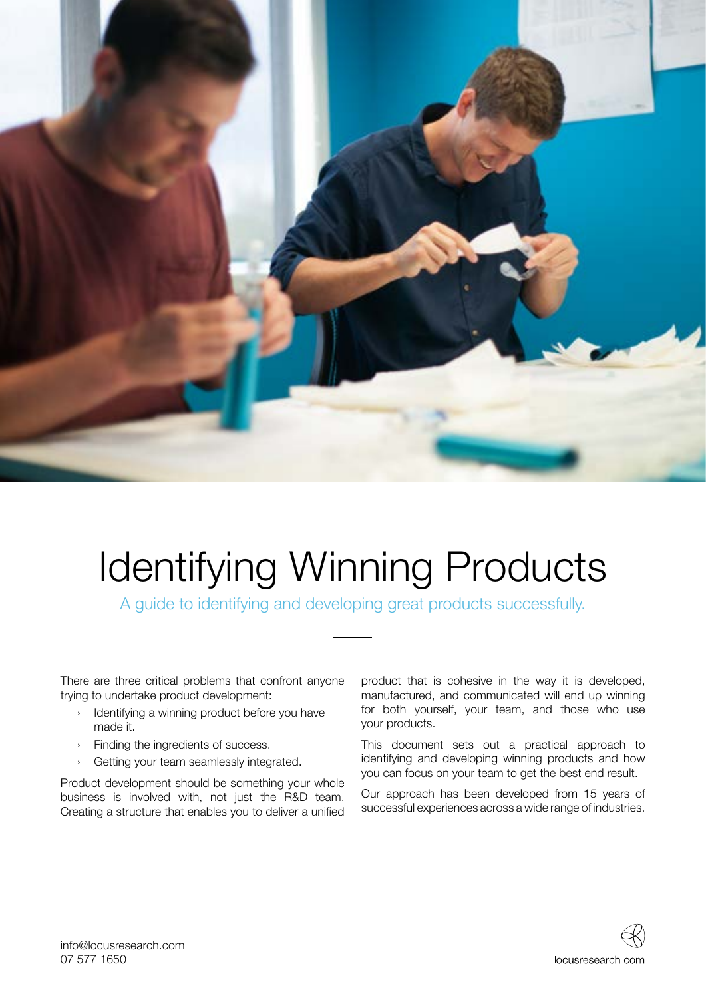

# Identifying Winning Products

A guide to identifying and developing great products successfully.

There are three critical problems that confront anyone trying to undertake product development:

- › Identifying a winning product before you have made it.
- › Finding the ingredients of success.
- › Getting your team seamlessly integrated.

Product development should be something your whole business is involved with, not just the R&D team. Creating a structure that enables you to deliver a unified product that is cohesive in the way it is developed, manufactured, and communicated will end up winning for both yourself, your team, and those who use your products.

This document sets out a practical approach to identifying and developing winning products and how you can focus on your team to get the best end result.

Our approach has been developed from 15 years of successful experiences across a wide range of industries.

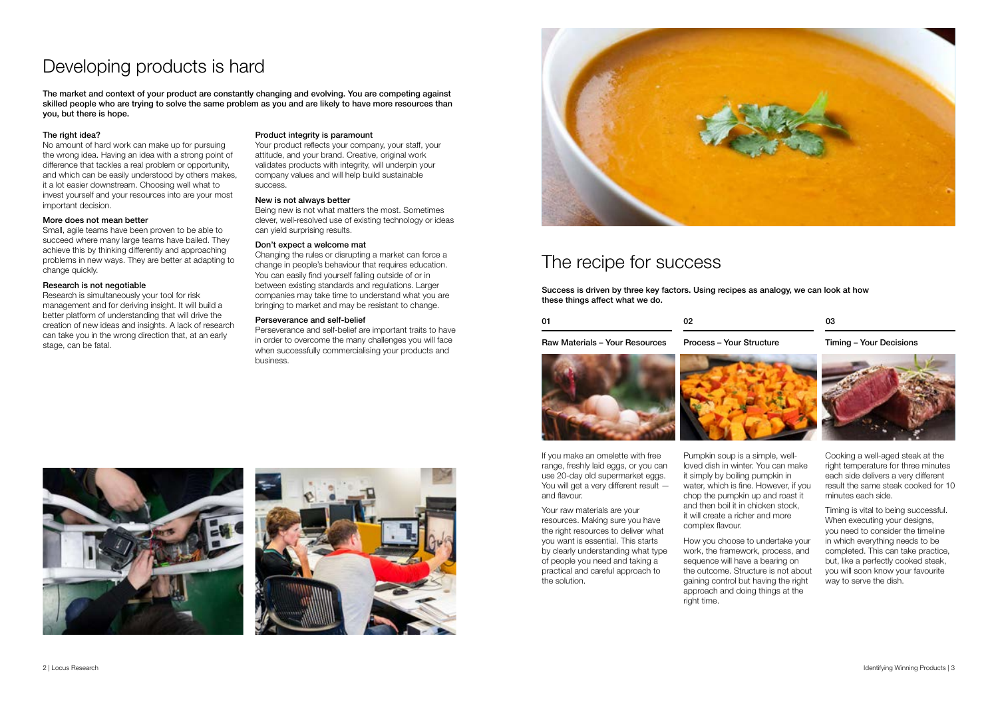No amount of hard work can make up for pursuing the wrong idea. Having an idea with a strong point of difference that tackles a real problem or opportunity, and which can be easily understood by others makes, it a lot easier downstream. Choosing well what to invest yourself and your resources into are your most important decision.

#### More does not mean better

Small, agile teams have been proven to be able to succeed where many large teams have bailed. They achieve this by thinking differently and approaching problems in new ways. They are better at adapting to change quickly.

#### Research is not negotiable

Research is simultaneously your tool for risk management and for deriving insight. It will build a better platform of understanding that will drive the creation of new ideas and insights. A lack of research can take you in the wrong direction that, at an early stage, can be fatal.

#### Product integrity is paramount

Your product reflects your company, your staff, your attitude, and your brand. Creative, original work validates products with integrity, will underpin your company values and will help build sustainable success.

#### New is not always better

Being new is not what matters the most. Sometimes clever, well-resolved use of existing technology or ideas can yield surprising results.

#### Don't expect a welcome mat

Changing the rules or disrupting a market can force a change in people's behaviour that requires education. You can easily find yourself falling outside of or in between existing standards and regulations. Larger companies may take time to understand what you are bringing to market and may be resistant to change.

#### Perseverance and self-belief

Perseverance and self-belief are important traits to have in order to overcome the many challenges you will face when successfully commercialising your products and business.



## Developing products is hard

The market and context of your product are constantly changing and evolving. You are competing against skilled people who are trying to solve the same problem as you and are likely to have more resources than you, but there is hope.

#### The right idea?

### The recipe for success

Success is driven by three key factors. Using recipes as analogy, we can look at how these things affect what we do.

Raw Materials – Your Resources

| 0 <sup>1</sup> | nn<br>-- |
|----------------|----------|
|                |          |

Process – Your Structure





### Timing – Your Decisions

#### 03

If you make an omelette with free range, freshly laid eggs, or you can use 20-day old supermarket eggs. You will get a very different result and flavour.

Your raw materials are your resources. Making sure you have the right resources to deliver what you want is essential. This starts by clearly understanding what type of people you need and taking a practical and careful approach to the solution.

Pumpkin soup is a simple, wellloved dish in winter. You can make it simply by boiling pumpkin in water, which is fine. However, if you chop the pumpkin up and roast it and then boil it in chicken stock, it will create a richer and more complex flavour.

How you choose to undertake your work, the framework, process, and sequence will have a bearing on the outcome. Structure is not about gaining control but having the right approach and doing things at the right time.





Cooking a well-aged steak at the right temperature for three minutes each side delivers a very different result the same steak cooked for 10 minutes each side.

Timing is vital to being successful. When executing your designs, you need to consider the timeline in which everything needs to be completed. This can take practice, but, like a perfectly cooked steak, you will soon know your favourite way to serve the dish.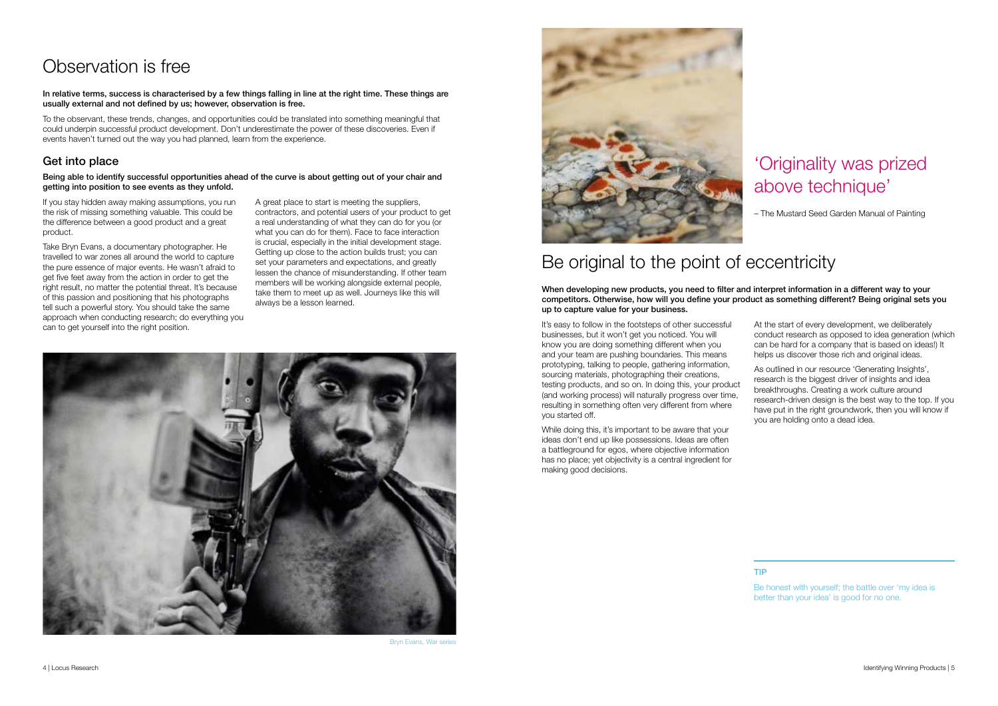### Be original to the point of eccentricity

When developing new products, you need to filter and interpret information in a different way to your competitors. Otherwise, how will you define your product as something different? Being original sets you up to capture value for your business.

While doing this, it's important to be aware that your ideas don't end up like possessions. Ideas are often a battleground for egos, where objective information has no place; yet objectivity is a central ingredient for making good decisions.

It's easy to follow in the footsteps of other successful businesses, but it won't get you noticed. You will know you are doing something different when you and your team are pushing boundaries. This means prototyping, talking to people, gathering information, sourcing materials, photographing their creations, testing products, and so on. In doing this, your product (and working process) will naturally progress over time, resulting in something often very different from where you started off. At the start of every development, we deliberately conduct research as opposed to idea generation (which can be hard for a company that is based on ideas!) It helps us discover those rich and original ideas. As outlined in our resource 'Generating Insights', research is the biggest driver of insights and idea breakthroughs. Creating a work culture around research-driven design is the best way to the top. If you have put in the right groundwork, then you will know if you are holding onto a dead idea.

## Observation is free

In relative terms, success is characterised by a few things falling in line at the right time. These things are usually external and not defined by us; however, observation is free.

To the observant, these trends, changes, and opportunities could be translated into something meaningful that could underpin successful product development. Don't underestimate the power of these discoveries. Even if events haven't turned out the way you had planned, learn from the experience.

### Get into place

Being able to identify successful opportunities ahead of the curve is about getting out of your chair and getting into position to see events as they unfold.

If you stay hidden away making assumptions, you run the risk of missing something valuable. This could be the difference between a good product and a great product.

Take Bryn Evans, a documentary photographer. He travelled to war zones all around the world to capture the pure essence of major events. He wasn't afraid to get five feet away from the action in order to get the right result, no matter the potential threat. It's because of this passion and positioning that his photographs tell such a powerful story. You should take the same approach when conducting research; do everything you can to get yourself into the right position.

A great place to start is meeting the suppliers, contractors, and potential users of your product to get a real understanding of what they can do for you (or what you can do for them). Face to face interaction is crucial, especially in the initial development stage. Getting up close to the action builds trust; you can set your parameters and expectations, and greatly lessen the chance of misunderstanding. If other team members will be working alongside external people, take them to meet up as well. Journeys like this will always be a lesson learned.



Bryn Evans, War series



### 'Originality was prized above technique'

– The Mustard Seed Garden Manual of Painting

### TIP

Be honest with yourself; the battle over 'my idea is better than your idea' is good for no one.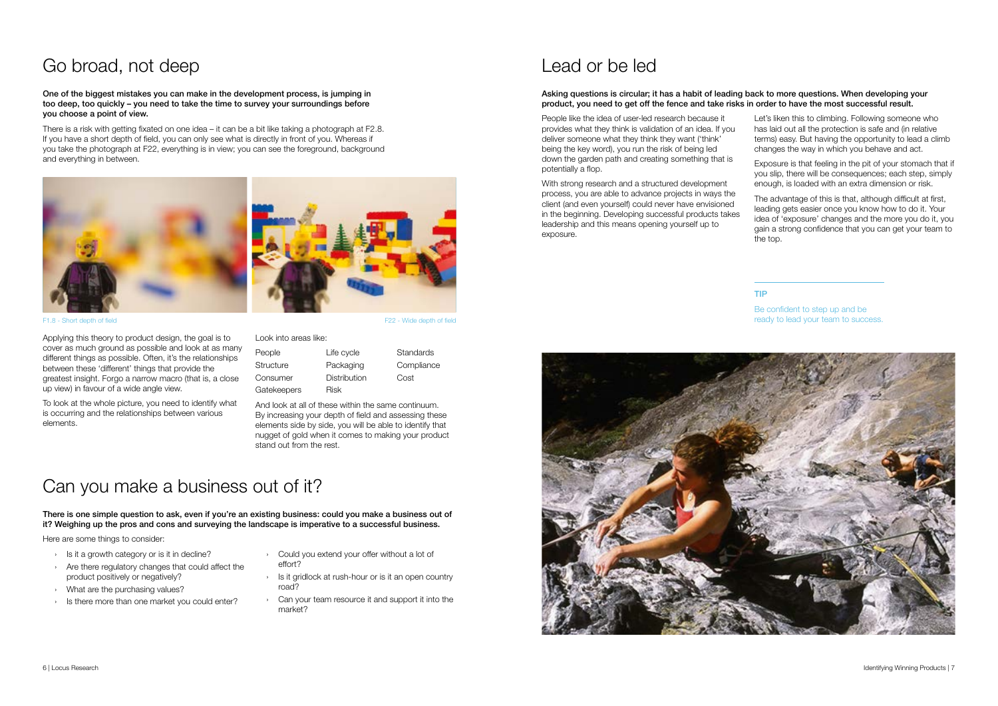### Lead or be led

#### Asking questions is circular; it has a habit of leading back to more questions. When developing your product, you need to get off the fence and take risks in order to have the most successful result.

People like the idea of user-led research because it provides what they think is validation of an idea. If you deliver someone what they think they want ('think' being the key word), you run the risk of being led down the garden path and creating something that is potentially a flop.

With strong research and a structured development process, you are able to advance projects in ways the client (and even yourself) could never have envisioned in the beginning. Developing successful products takes leadership and this means opening yourself up to exposure.



- Let's liken this to climbing. Following someone who has laid out all the protection is safe and (in relative terms) easy. But having the opportunity to lead a climb changes the way in which you behave and act.
- Exposure is that feeling in the pit of your stomach that if you slip, there will be consequences; each step, simply enough, is loaded with an extra dimension or risk.
- The advantage of this is that, although difficult at first, leading gets easier once you know how to do it. Your idea of 'exposure' changes and the more you do it, you gain a strong confidence that you can get your team to the top.

**Standards Compliance** Cost

### Go broad, not deep

#### One of the biggest mistakes you can make in the development process, is jumping in too deep, too quickly – you need to take the time to survey your surroundings before you choose a point of view.

There is a risk with getting fixated on one idea – it can be a bit like taking a photograph at F2.8. If you have a short depth of field, you can only see what is directly in front of you. Whereas if you take the photograph at F22, everything is in view; you can see the foreground, background and everything in between.

## Can you make a business out of it?

There is one simple question to ask, even if you're an existing business: could you make a business out of it? Weighing up the pros and cons and surveying the landscape is imperative to a successful business.

Here are some things to consider:

Applying this theory to product design, the goal is to cover as much ground as possible and look at as many different things as possible. Often, it's the relationships between these 'different' things that provide the greatest insight. Forgo a narrow macro (that is, a close up view) in favour of a wide angle view.

To look at the whole picture, you need to identify what is occurring and the relationships between various elements.

|  | Look into areas like: |  |
|--|-----------------------|--|
|  |                       |  |

| People      | Life cycle   |
|-------------|--------------|
| Structure   | Packaging    |
| Consumer    | Distribution |
| Gatekeepers | Risk         |

And look at all of these within the same continuum. By increasing your depth of field and assessing these elements side by side, you will be able to identify that nugget of gold when it comes to making your product stand out from the rest.



F1.8 - Short depth of field F22 - Wide depth of field

- › Is it a growth category or is it in decline?
- › Are there regulatory changes that could affect the product positively or negatively?
- › What are the purchasing values?
- › Is there more than one market you could enter?
- › Could you extend your offer without a lot of effort?
- Is it gridlock at rush-hour or is it an open country road?
- Can your team resource it and support it into the market?

### TIP

Be confident to step up and be ready to lead your team to success.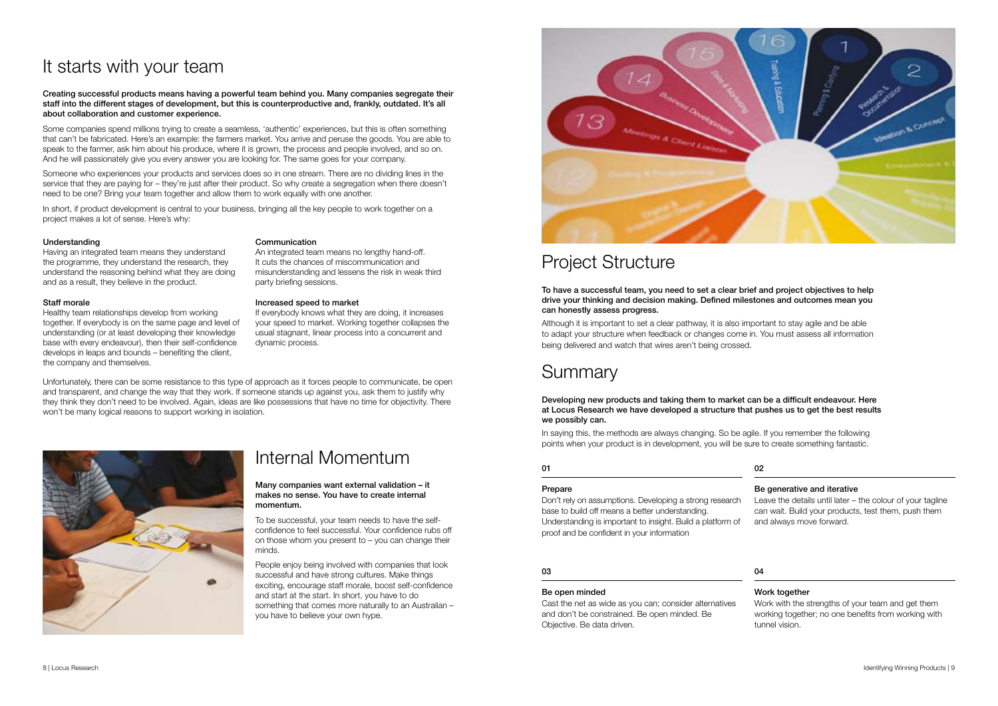#### Understanding

Having an integrated team means they understand the programme, they understand the research, they understand the reasoning behind what they are doing and as a result, they believe in the product.

#### Communication

An integrated team means no lengthy hand-off. It cuts the chances of miscommunication and misunderstanding and lessens the risk in weak third party briefing sessions.

#### Staff morale

If everybody knows what they are doing, it increases your speed to market. Working together collapses the usual stagnant, linear process into a concurrent and dynamic process.

Healthy team relationships develop from working together. If everybody is on the same page and level of understanding (or at least developing their knowledge base with every endeavour), then their self-confidence develops in leaps and bounds – benefiting the client, the company and themselves.

#### Increased speed to market

## It starts with your team

#### Creating successful products means having a powerful team behind you. Many companies segregate their staff into the different stages of development, but this is counterproductive and, frankly, outdated. It's all about collaboration and customer experience.

Some companies spend millions trying to create a seamless, 'authentic' experiences, but this is often something that can't be fabricated. Here's an example: the farmers market. You arrive and peruse the goods. You are able to speak to the farmer, ask him about his produce, where it is grown, the process and people involved, and so on. And he will passionately give you every answer you are looking for. The same goes for your company.

Someone who experiences your products and services does so in one stream. There are no dividing lines in the service that they are paying for – they're just after their product. So why create a segregation when there doesn't need to be one? Bring your team together and allow them to work equally with one another.

In short, if product development is central to your business, bringing all the key people to work together on a project makes a lot of sense. Here's why:

### Internal Momentum

Many companies want external validation – it makes no sense. You have to create internal momentum.

To be successful, your team needs to have the selfconfidence to feel successful. Your confidence rubs off on those whom you present to – you can change their minds.

People enjoy being involved with companies that look successful and have strong cultures. Make things exciting, encourage staff morale, boost self-confidence and start at the start. In short, you have to do something that comes more naturally to an Australian – you have to believe your own hype.



### Project Structure

To have a successful team, you need to set a clear brief and project objectives to help drive your thinking and decision making. Defined milestones and outcomes mean you can honestly assess progress.

Although it is important to set a clear pathway, it is also important to stay agile and be able to adapt your structure when feedback or changes come in. You must assess all information being delivered and watch that wires aren't being crossed.

### **Summary**

Developing new products and taking them to market can be a difficult endeavour. Here at Locus Research we have developed a structure that pushes us to get the best results we possibly can.

In saying this, the methods are always changing. So be agile. If you remember the following points when your product is in development, you will be sure to create something fantastic.

Unfortunately, there can be some resistance to this type of approach as it forces people to communicate, be open and transparent, and change the way that they work. If someone stands up against you, ask them to justify why they think they don't need to be involved. Again, ideas are like possessions that have no time for objectivity. There won't be many logical reasons to support working in isolation.



#### Prepare

Don't rely on assumptions. Developing a strong research base to build off means a better understanding. Understanding is important to insight. Build a platform of proof and be confident in your information

#### 01

#### Be open minded

Cast the net as wide as you can; consider alternatives and don't be constrained. Be open minded. Be Objective. Be data driven.

#### 03

#### Be generative and iterative

Leave the details until later – the colour of your tagline can wait. Build your products, test them, push them and always move forward.

### 02

Work with the strengths of your team and get them working together; no one benefits from working with tunnel vision.

#### 04

#### Work together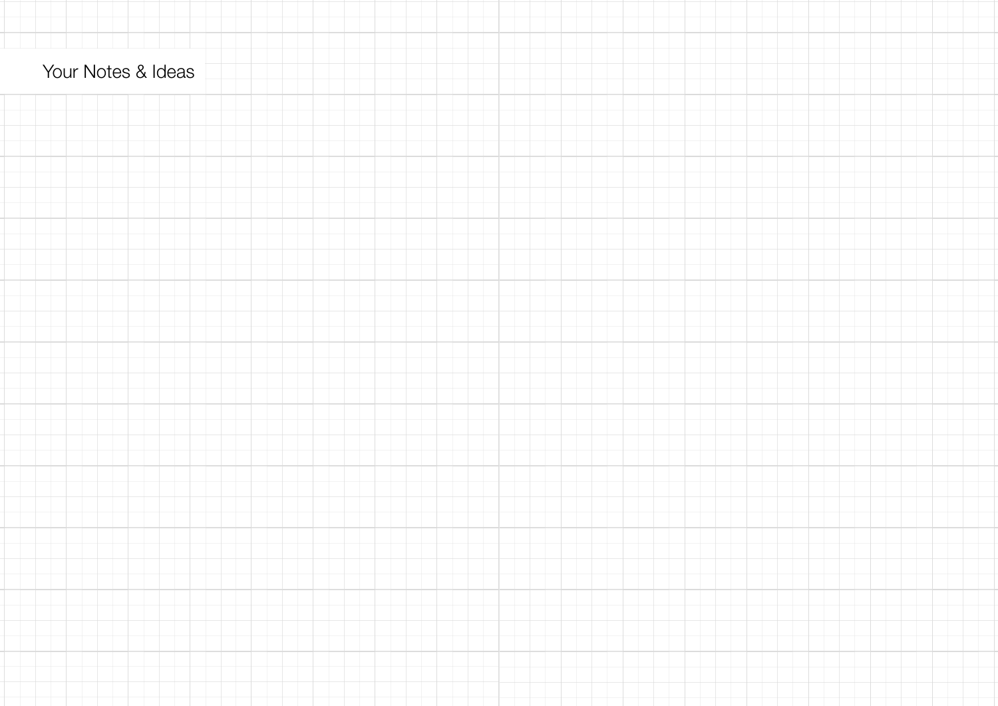## Your Notes & Ideas